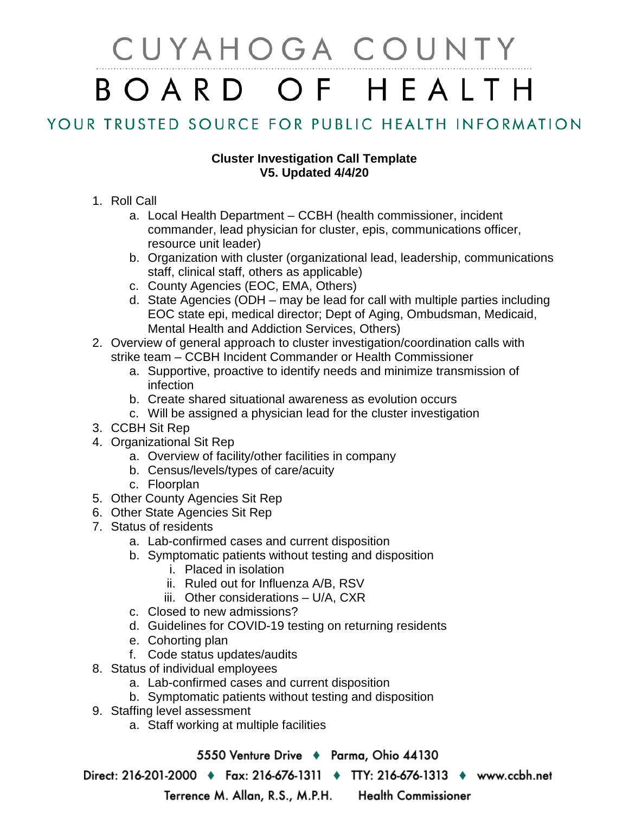## CUYAHOGA COUNTY BOARD OF HEALTH

## YOUR TRUSTED SOURCE FOR PUBLIC HEALTH INFORMATION

## **Cluster Investigation Call Template V5. Updated 4/4/20**

- 1. Roll Call
	- a. Local Health Department CCBH (health commissioner, incident commander, lead physician for cluster, epis, communications officer, resource unit leader)
	- b. Organization with cluster (organizational lead, leadership, communications staff, clinical staff, others as applicable)
	- c. County Agencies (EOC, EMA, Others)
	- d. State Agencies (ODH may be lead for call with multiple parties including EOC state epi, medical director; Dept of Aging, Ombudsman, Medicaid, Mental Health and Addiction Services, Others)
- 2. Overview of general approach to cluster investigation/coordination calls with strike team – CCBH Incident Commander or Health Commissioner
	- a. Supportive, proactive to identify needs and minimize transmission of infection
	- b. Create shared situational awareness as evolution occurs
	- c. Will be assigned a physician lead for the cluster investigation
- 3. CCBH Sit Rep
- 4. Organizational Sit Rep
	- a. Overview of facility/other facilities in company
	- b. Census/levels/types of care/acuity
	- c. Floorplan
- 5. Other County Agencies Sit Rep
- 6. Other State Agencies Sit Rep
- 7. Status of residents
	- a. Lab-confirmed cases and current disposition
	- b. Symptomatic patients without testing and disposition
		- i. Placed in isolation
		- ii. Ruled out for Influenza A/B, RSV
		- iii. Other considerations U/A, CXR
	- c. Closed to new admissions?
	- d. Guidelines for COVID-19 testing on returning residents
	- e. Cohorting plan
	- f. Code status updates/audits
- 8. Status of individual employees
	- a. Lab-confirmed cases and current disposition
	- b. Symptomatic patients without testing and disposition
- 9. Staffing level assessment
	- a. Staff working at multiple facilities

5550 Venture Drive + Parma, Ohio 44130

Direct: 216-201-2000 ♦ Fax: 216-676-1311 ♦ TTY: 216-676-1313 ♦ www.ccbh.net

Terrence M. Allan, R.S., M.P.H.

**Health Commissioner**